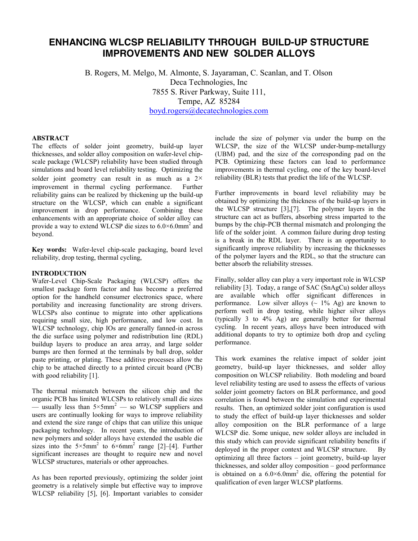# **ENHANCING WLCSP RELIABILITY THROUGH BUILD-UP STRUCTURE IMPROVEMENTS AND NEW SOLDER ALLOYS**

B. Rogers, M. Melgo, M. Almonte, S. Jayaraman, C. Scanlan, and T. Olson Deca Technologies, Inc 7855 S. River Parkway, Suite 111, Tempe, AZ 85284 [boyd.rogers@decatechnologies.com](mailto:boyd.rogers@decatechnologies.com)

# **ABSTRACT**

The effects of solder joint geometry, build-up layer thicknesses, and solder alloy composition on wafer-level chipscale package (WLCSP) reliability have been studied through simulations and board level reliability testing. Optimizing the solder joint geometry can result in as much as a  $2\times$ improvement in thermal cycling performance. Further reliability gains can be realized by thickening up the build-up structure on the WLCSP, which can enable a significant improvement in drop performance. Combining these enhancements with an appropriate choice of solder alloy can provide a way to extend WLCSP die sizes to  $6.0 \times 6.0$  mm<sup>2</sup> and beyond.

**Key words:** Wafer-level chip-scale packaging, board level reliability, drop testing, thermal cycling,

## **INTRODUCTION**

Wafer-Level Chip-Scale Packaging (WLCSP) offers the smallest package form factor and has become a preferred option for the handheld consumer electronics space, where portability and increasing functionality are strong drivers. WLCSPs also continue to migrate into other applications requiring small size, high performance, and low cost. In WLCSP technology, chip IOs are generally fanned-in across the die surface using polymer and redistribution line (RDL) buildup layers to produce an area array, and large solder bumps are then formed at the terminals by ball drop, solder paste printing, or plating. These additive processes allow the chip to be attached directly to a printed circuit board (PCB) with good reliability [1].

The thermal mismatch between the silicon chip and the organic PCB has limited WLCSPs to relatively small die sizes — usually less than  $5 \times 5$ mm<sup>2</sup> — so WLCSP suppliers and users are continually looking for ways to improve reliability and extend the size range of chips that can utilize this unique packaging technology. In recent years, the introduction of new polymers and solder alloys have extended the usable die sizes into the  $5 \times 5$ mm<sup>2</sup> to  $6 \times 6$ mm<sup>2</sup> range [2]–[4]. Further significant increases are thought to require new and novel WLCSP structures, materials or other approaches.

As has been reported previously, optimizing the solder joint geometry is a relatively simple but effective way to improve WLCSP reliability [5], [6]. Important variables to consider

include the size of polymer via under the bump on the WLCSP, the size of the WLCSP under-bump-metallurgy (UBM) pad, and the size of the corresponding pad on the PCB. Optimizing these factors can lead to performance improvements in thermal cycling, one of the key board-level reliability (BLR) tests that predict the life of the WLCSP.

Further improvements in board level reliability may be obtained by optimizing the thickness of the build-up layers in the WLCSP structure [3],[7]. The polymer layers in the structure can act as buffers, absorbing stress imparted to the bumps by the chip-PCB thermal mismatch and prolonging the life of the solder joint. A common failure during drop testing is a break in the RDL layer. There is an opportunity to significantly improve reliability by increasing the thicknesses of the polymer layers and the RDL, so that the structure can better absorb the reliability stresses.

Finally, solder alloy can play a very important role in WLCSP reliability [3]. Today, a range of SAC (SnAgCu) solder alloys are available which offer significant differences in performance. Low silver alloys  $\left(\sim 1\%$  Ag) are known to perform well in drop testing, while higher silver alloys (typically 3 to 4% Ag) are generally better for thermal cycling. In recent years, alloys have been introduced with additional dopants to try to optimize both drop and cycling performance.

This work examines the relative impact of solder joint geometry, build-up layer thicknesses, and solder alloy composition on WLCSP reliability. Both modeling and board level reliability testing are used to assess the effects of various solder joint geometry factors on BLR performance, and good correlation is found between the simulation and experimental results. Then, an optimized solder joint configuration is used to study the effect of build-up layer thicknesses and solder alloy composition on the BLR performance of a large WLCSP die. Some unique, new solder alloys are included in this study which can provide significant reliability benefits if deployed in the proper context and WLCSP structure. optimizing all three factors – joint geometry, build-up layer thicknesses, and solder alloy composition – good performance is obtained on a  $6.0 \times 6.0$  mm<sup>2</sup> die, offering the potential for qualification of even larger WLCSP platforms.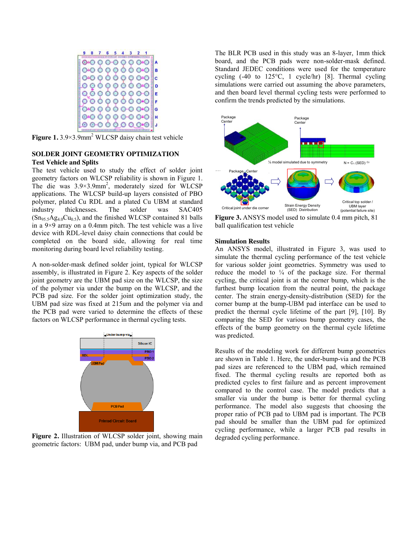

**Figure 1.** 3.9×3.9mm<sup>2</sup> WLCSP daisy chain test vehicle

## **SOLDER JOINT GEOMETRY OPTIMIZATION Test Vehicle and Splits**

The test vehicle used to study the effect of solder joint geometry factors on WLCSP reliability is shown in Figure 1. The die was  $3.9 \times 3.9$  mm<sup>2</sup>, moderately sized for WLCSP applications. The WLCSP build-up layers consisted of PBO polymer, plated Cu RDL and a plated Cu UBM at standard industry thicknesses. The solder was SAC405  $(Sn_{95.5}Ag_{4.0}Cu_{0.5})$ , and the finished WLCSP contained 81 balls in a 9×9 array on a 0.4mm pitch. The test vehicle was a live device with RDL-level daisy chain connections that could be completed on the board side, allowing for real time monitoring during board level reliability testing.

A non-solder-mask defined solder joint, typical for WLCSP assembly, is illustrated in Figure 2. Key aspects of the solder joint geometry are the UBM pad size on the WLCSP, the size of the polymer via under the bump on the WLCSP, and the PCB pad size. For the solder joint optimization study, the UBM pad size was fixed at 215um and the polymer via and the PCB pad were varied to determine the effects of these factors on WLCSP performance in thermal cycling tests.



**Figure 2.** Illustration of WLCSP solder joint, showing main geometric factors: UBM pad, under bump via, and PCB pad

The BLR PCB used in this study was an 8-layer, 1mm thick board, and the PCB pads were non-solder-mask defined. Standard JEDEC conditions were used for the temperature cycling (-40 to 125°C, 1 cycle/hr) [8]. Thermal cycling simulations were carried out assuming the above parameters, and then board level thermal cycling tests were performed to confirm the trends predicted by the simulations.



**Figure 3.** ANSYS model used to simulate 0.4 mm pitch, 81 ball qualification test vehicle

#### **Simulation Results**

An ANSYS model, illustrated in Figure 3, was used to simulate the thermal cycling performance of the test vehicle for various solder joint geometries. Symmetry was used to reduce the model to  $\frac{1}{4}$  of the package size. For thermal cycling, the critical joint is at the corner bump, which is the furthest bump location from the neutral point, the package center. The strain energy-density-distribution (SED) for the corner bump at the bump-UBM pad interface can be used to predict the thermal cycle lifetime of the part [9], [10]. By comparing the SED for various bump geometry cases, the effects of the bump geometry on the thermal cycle lifetime was predicted.

Results of the modeling work for different bump geometries are shown in Table 1. Here, the under-bump-via and the PCB pad sizes are referenced to the UBM pad, which remained fixed. The thermal cycling results are reported both as predicted cycles to first failure and as percent improvement compared to the control case. The model predicts that a smaller via under the bump is better for thermal cycling performance. The model also suggests that choosing the proper ratio of PCB pad to UBM pad is important. The PCB pad should be smaller than the UBM pad for optimized cycling performance, while a larger PCB pad results in degraded cycling performance.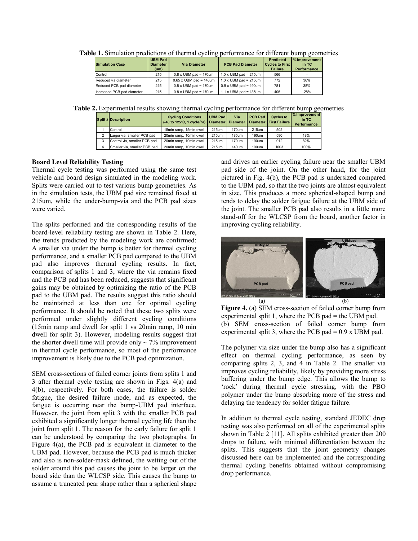| <b>Simulation Case</b>     | <b>UBM Pad</b><br><b>Diameter</b><br>(u <sub>m</sub> ) | <b>Via Diameter</b>                  | <b>PCB Pad Diameter</b>              | <b>Predicted</b><br><b>Cycles to First</b><br>Failure | % Improvement<br>in TC<br><b>Performance</b> |
|----------------------------|--------------------------------------------------------|--------------------------------------|--------------------------------------|-------------------------------------------------------|----------------------------------------------|
| Control                    | 215                                                    | $0.8 \times$ UBM pad $\approx$ 170um | $1.0 \times$ UBM pad = 215um         | 566                                                   |                                              |
| Reduced via diameter       | 215                                                    | $0.65$ x UBM pad $\approx$ 140um     | $1.0 \times$ UBM pad = 215um         | 772                                                   | 36%                                          |
| Reduced PCB pad diameter   | 215                                                    | $0.8 \times$ UBM pad $\approx$ 170um | $0.9 \times$ UBM pad $\approx$ 190um | 781                                                   | 38%                                          |
| Increased PCB pad diameter | 215                                                    | $0.8 \times$ UBM pad $\approx$ 170um | 1.1 x UBM pad $\approx$ 135um        | 406                                                   | $-28%$                                       |

**Table 1.** Simulation predictions of thermal cycling performance for different bump geometries

**Table 2.** Experimental results showing thermal cycling performance for different bump geometries

|  | <b>Split # Description</b>   | <b>Cycling Conditions</b><br>(-40 to 125°C, 1 cycle/hr) | <b>UBM Pad</b><br>Diameter Diameter | Via   | <b>PCB Pad</b> | <b>Cycles to</b><br>Diameter First Failure | % Improvement<br>in TC<br>Performance |
|--|------------------------------|---------------------------------------------------------|-------------------------------------|-------|----------------|--------------------------------------------|---------------------------------------|
|  | Control                      | 15min ramp, 15min dwell                                 | 215um                               | 170um | 215um          | 502                                        |                                       |
|  | Larger via, smaller PCB pad  | 20min ramp, 10min dwell                                 | 215um                               | 185um | 190um          | 590                                        | 18%                                   |
|  | Control via, smaller PCB pad | 20min ramp. 10min dwell                                 | 215um                               | 170um | 190um          | 912                                        | 82%                                   |
|  | Smaller via, smaller PCB pad | 20min ramp, 10min dwell                                 | 215um                               | 140um | 190um          | 1003                                       | 100%                                  |

# **Board Level Reliability Testing**

Thermal cycle testing was performed using the same test vehicle and board design simulated in the modeling work. Splits were carried out to test various bump geometries. As in the simulation tests, the UBM pad size remained fixed at 215um, while the under-bump-via and the PCB pad sizes were varied.

The splits performed and the corresponding results of the board-level reliability testing are shown in Table 2. Here, the trends predicted by the modeling work are confirmed: A smaller via under the bump is better for thermal cycling performance, and a smaller PCB pad compared to the UBM pad also improves thermal cycling results. In fact, comparison of splits 1 and 3, where the via remains fixed and the PCB pad has been reduced, suggests that significant gains may be obtained by optimizing the ratio of the PCB pad to the UBM pad. The results suggest this ratio should be maintained at less than one for optimal cycling performance. It should be noted that these two splits were performed under slightly different cycling conditions (15min ramp and dwell for split 1 vs 20min ramp, 10 min dwell for split 3). However, modeling results suggest that the shorter dwell time will provide only  $\sim$  7% improvement in thermal cycle performance, so most of the performance improvement is likely due to the PCB pad optimization.

SEM cross-sections of failed corner joints from splits 1 and 3 after thermal cycle testing are shown in Figs. 4(a) and 4(b), respectively. For both cases, the failure is solder fatigue, the desired failure mode, and as expected, the fatigue is occurring near the bump-UBM pad interface. However, the joint from split 3 with the smaller PCB pad exhibited a significantly longer thermal cycling life than the joint from split 1. The reason for the early failure for split 1 can be understood by comparing the two photographs. In Figure 4(a), the PCB pad is equivalent in diameter to the UBM pad. However, because the PCB pad is much thicker and also is non-solder-mask defined, the wetting out of the solder around this pad causes the joint to be larger on the board side than the WLCSP side. This causes the bump to assume a truncated pear shape rather than a spherical shape

and drives an earlier cycling failure near the smaller UBM pad side of the joint. On the other hand, for the joint pictured in Fig. 4(b), the PCB pad is undersized compared to the UBM pad, so that the two joints are almost equivalent in size. This produces a more spherical-shaped bump and tends to delay the solder fatigue failure at the UBM side of the joint. The smaller PCB pad also results in a little more stand-off for the WLCSP from the board, another factor in improving cycling reliability.



**Figure 4.** (a) SEM cross-section of failed corner bump from experimental split 1, where the PCB pad  $=$  the UBM pad. (b) SEM cross-section of failed corner bump from experimental split 3, where the PCB pad  $= 0.9$  x UBM pad.

The polymer via size under the bump also has a significant effect on thermal cycling performance, as seen by comparing splits 2, 3, and 4 in Table 2. The smaller via improves cycling reliability, likely by providing more stress buffering under the bump edge. This allows the bump to 'rock' during thermal cycle stressing, with the PBO polymer under the bump absorbing more of the stress and delaying the tendency for solder fatigue failure.

In addition to thermal cycle testing, standard JEDEC drop testing was also performed on all of the experimental splits shown in Table 2 [11]. All splits exhibited greater than 200 drops to failure, with minimal differentiation between the splits. This suggests that the joint geometry changes discussed here can be implemented and the corresponding thermal cycling benefits obtained without compromising drop performance.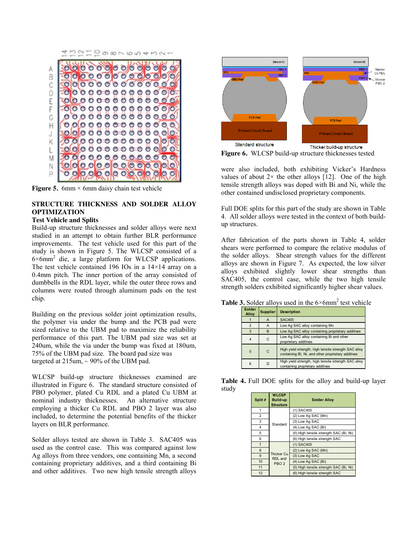43210987654321



**Figure 5.** 6mm  $\times$  6mm daisy chain test vehicle

# **STRUCTURE THICKNESS AND SOLDER ALLOY OPTIMIZATION**

# **Test Vehicle and Splits**

Build-up structure thicknesses and solder alloys were next studied in an attempt to obtain further BLR performance improvements. The test vehicle used for this part of the study is shown in Figure 5. The WLCSP consisted of a 6×6mm2 die, a large platform for WLCSP applications. The test vehicle contained 196 IOs in a 14×14 array on a 0.4mm pitch. The inner portion of the array consisted of dumbbells in the RDL layer, while the outer three rows and columns were routed through aluminum pads on the test chip.

Building on the previous solder joint optimization results, the polymer via under the bump and the PCB pad were sized relative to the UBM pad to maximize the reliability performance of this part. The UBM pad size was set at 240um, while the via under the bump was fixed at 180um, 75% of the UBM pad size. The board pad size was targeted at  $215$ um,  $\sim$  90% of the UBM pad.

WLCSP build-up structure thicknesses examined are illustrated in Figure 6. The standard structure consisted of PBO polymer, plated Cu RDL and a plated Cu UBM at nominal industry thicknesses. An alternative structure employing a thicker Cu RDL and PBO 2 layer was also included, to determine the potential benefits of the thicker layers on BLR performance.

Solder alloys tested are shown in Table 3. SAC405 was used as the control case. This was compared against low Ag alloys from three vendors, one containing Mn, a second containing proprietary additives, and a third containing Bi and other additives. Two new high tensile strength alloys



**Figure 6.** WLCSP build-up structure thicknesses tested

were also included, both exhibiting Vicker's Hardness values of about  $2 \times$  the other alloys [12]. One of the high tensile strength alloys was doped with Bi and Ni, while the other contained undisclosed proprietary components.

Full DOE splits for this part of the study are shown in Table 4. All solder alloys were tested in the context of both buildup structures.

After fabrication of the parts shown in Table 4, solder shears were performed to compare the relative modulus of the solder alloys. Shear strength values for the different alloys are shown in Figure 7. As expected, the low silver alloys exhibited slightly lower shear strengths than SAC405, the control case, while the two high tensile strength solders exhibited significantly higher shear values.

|  |  | <b>Table 3.</b> Solder alloys used in the $6 \times 6$ mm <sup>2</sup> test vehicle |  |
|--|--|-------------------------------------------------------------------------------------|--|
|  |  |                                                                                     |  |

| <b>Solder</b><br>Alloy | <b>Supplier</b> | <b>Description</b>                                                                                         |
|------------------------|-----------------|------------------------------------------------------------------------------------------------------------|
|                        | A               | <b>SAC405</b>                                                                                              |
| 2                      | A               | Low Ag SAC alloy containing Mn                                                                             |
| 3                      | B               | Low Ag SAC alloy containing proprietary additives                                                          |
| $\overline{4}$         | C               | Low Ag SAC alloy containing Bi and other<br>proprietary additives                                          |
| 5                      | $\mathsf{C}$    | High yield strength, high tensile strength SAC alloy<br>containing Bi, Ni, and other proprietary additives |
| 6                      | D               | High yield strength, high tensile strength SAC alloy<br>containing proprietary additives                   |

**Table 4.** Full DOE splits for the alloy and build-up layer study

| Split #        | <b>WLCSP</b><br><b>Build-up</b><br><b>Structure</b> | <b>Solder Alloy</b>                    |
|----------------|-----------------------------------------------------|----------------------------------------|
|                |                                                     | (1) SAC405                             |
| 2              | Standard                                            | (2) Low Ag SAC (Mn)                    |
| 3              |                                                     | (3) Low Ag SAC                         |
| 4              |                                                     | (4) Low Ag SAC (Bi)                    |
| 5              |                                                     | (5) High tensile strength SAC (Bi, Ni) |
| 6              |                                                     | (6) High tensile strength SAC          |
| $\overline{7}$ |                                                     | (1) SAC405                             |
| 8              |                                                     | (2) Low Ag SAC (Mn)                    |
| 9              | <b>Thicker Cu</b><br>RDL and                        | (3) Low Ag SAC                         |
| 10             | PBO <sub>2</sub>                                    | (4) Low Ag SAC (Bi)                    |
| 11             |                                                     | (5) High tensile strength SAC (Bi, Ni) |
| 12             |                                                     | (6) High tensile strength SAC          |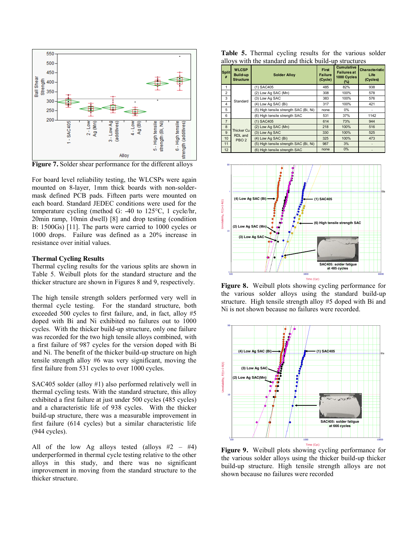

**Figure 7.** Solder shear performance for the different alloys

For board level reliability testing, the WLCSPs were again mounted on 8-layer, 1mm thick boards with non-soldermask defined PCB pads. Fifteen parts were mounted on each board. Standard JEDEC conditions were used for the temperature cycling (method G: -40 to 125°C, 1 cycle/hr, 20min ramp, 10min dwell) [8] and drop testing (condition B: 1500Gs) [11]. The parts were carried to 1000 cycles or 1000 drops. Failure was defined as a 20% increase in resistance over initial values.

#### **Thermal Cycling Results**

Thermal cycling results for the various splits are shown in Table 5. Weibull plots for the standard structure and the thicker structure are shown in Figures 8 and 9, respectively.

The high tensile strength solders performed very well in thermal cycle testing. For the standard structure, both exceeded 500 cycles to first failure, and, in fact, alloy #5 doped with Bi and Ni exhibited no failures out to 1000 cycles. With the thicker build-up structure, only one failure was recorded for the two high tensile alloys combined, with a first failure of 987 cycles for the version doped with Bi and Ni. The benefit of the thicker build-up structure on high tensile strength alloy #6 was very significant, moving the first failure from 531 cycles to over 1000 cycles.

SAC405 solder (alloy #1) also performed relatively well in thermal cycling tests. With the standard structure, this alloy exhibited a first failure at just under 500 cycles (485 cycles) and a characteristic life of 938 cycles. With the thicker build-up structure, there was a measurable improvement in first failure (614 cycles) but a similar characteristic life (944 cycles).

All of the low Ag alloys tested (alloys  $#2 - #4$ ) underperformed in thermal cycle testing relative to the other alloys in this study, and there was no significant improvement in moving from the standard structure to the thicker structure.

Table 5. Thermal cycling results for the various solder alloys with the standard and thick build-up structures

| <b>Split</b><br># | <b>WLCSP</b><br>Build-up<br><b>Structure</b>     | <b>Solder Alloy</b>                    | First<br><b>Failure</b><br>(Cycle) | <b>Cumulative</b><br><b>Failures at</b><br>1000 Cycles<br>(%) | <b>Characteristic</b><br>Life<br>(Cycles) |
|-------------------|--------------------------------------------------|----------------------------------------|------------------------------------|---------------------------------------------------------------|-------------------------------------------|
| 1                 |                                                  | (1) SAC405                             | 485                                | 82%                                                           | 938                                       |
| $\overline{2}$    |                                                  | (2) Low Ag SAC (Mn)                    | 308                                | 100%                                                          | 578                                       |
| 3                 | Standard                                         | (3) Low Ag SAC                         | 383                                | 100%                                                          | 576                                       |
| 4                 |                                                  | (4) Low Ag SAC (Bi)                    | 317                                | 100%                                                          | 421                                       |
| 5                 |                                                  | (5) High tensile strength SAC (Bi, Ni) | none                               | 0%                                                            |                                           |
| 6                 |                                                  | (6) High tensile strength SAC          | 531                                | 37%                                                           | 1142                                      |
| $\overline{7}$    |                                                  | (1) SAC405                             | 614                                | 73%                                                           | 944                                       |
| 8                 |                                                  | (2) Low Ag SAC (Mn)                    | 218                                | 100%                                                          | 516                                       |
| 9                 | <b>Thicker Cu</b><br>RDL and<br>PBO <sub>2</sub> | (3) Low Ag SAC                         | 330                                | 100%                                                          | 525                                       |
| 10                |                                                  | (4) Low Ag SAC (Bi)                    | 325                                | 100%                                                          | 473                                       |
| 11                |                                                  | (5) High tensile strength SAC (Bi, Ni) | 987                                | 3%                                                            |                                           |
| 12                |                                                  | (6) High tensile strength SAC          | none                               | 0%                                                            |                                           |



**Figure 8.** Weibull plots showing cycling performance for the various solder alloys using the standard build-up structure. High tensile strength alloy #5 doped with Bi and Ni is not shown because no failures were recorded.



**Figure 9.** Weibull plots showing cycling performance for the various solder alloys using the thicker build-up thicker build-up structure. High tensile strength alloys are not shown because no failures were recorded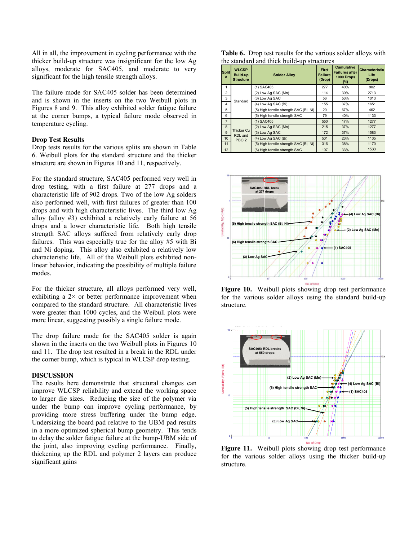All in all, the improvement in cycling performance with the thicker build-up structure was insignificant for the low Ag alloys, moderate for SAC405, and moderate to very significant for the high tensile strength alloys.

The failure mode for SAC405 solder has been determined and is shown in the inserts on the two Weibull plots in Figures 8 and 9. This alloy exhibited solder fatigue failure at the corner bumps, a typical failure mode observed in temperature cycling.

# **Drop Test Results**

Drop tests results for the various splits are shown in Table 6. Weibull plots for the standard structure and the thicker structure are shown in Figures 10 and 11, respectively.

For the standard structure, SAC405 performed very well in drop testing, with a first failure at 277 drops and a characteristic life of 902 drops. Two of the low Ag solders also performed well, with first failures of greater than 100 drops and with high characteristic lives. The third low Ag alloy (alloy #3) exhibited a relatively early failure at 56 drops and a lower characteristic life. Both high tensile strength SAC alloys suffered from relatively early drop failures. This was especially true for the alloy #5 with Bi and Ni doping. This alloy also exhibited a relatively low characteristic life. All of the Weibull plots exhibited nonlinear behavior, indicating the possibility of multiple failure modes.

For the thicker structure, all alloys performed very well, exhibiting a  $2 \times$  or better performance improvement when compared to the standard structure. All characteristic lives were greater than 1000 cycles, and the Weibull plots were more linear, suggesting possibly a single failure mode.

The drop failure mode for the SAC405 solder is again shown in the inserts on the two Weibull plots in Figures 10 and 11. The drop test resulted in a break in the RDL under the corner bump, which is typical in WLCSP drop testing.

## **DISCUSSION**

The results here demonstrate that structural changes can improve WLCSP reliability and extend the working space to larger die sizes. Reducing the size of the polymer via under the bump can improve cycling performance, by providing more stress buffering under the bump edge. Undersizing the board pad relative to the UBM pad results in a more optimized spherical bump geometry. This tends to delay the solder fatigue failure at the bump-UBM side of the joint, also improving cycling performance. Finally, thickening up the RDL and polymer 2 layers can produce significant gains

**Table 6.** Drop test results for the various solder alloys with the standard and thick build-up structures

| <b>Split</b><br># | <b>WLCSP</b><br><b>Solder Alloy</b><br><b>Build-up</b><br><b>Structure</b> |                                        | <b>First</b><br><b>Failure</b><br>(Drop) | <b>Cumulative</b><br><b>Failures after</b><br>1000 Drops<br>(%) | <b>Characteristic</b><br>Life<br>(Drops) |
|-------------------|----------------------------------------------------------------------------|----------------------------------------|------------------------------------------|-----------------------------------------------------------------|------------------------------------------|
| 1                 |                                                                            | (1) SAC405                             | 277                                      | 40%                                                             | 902                                      |
| $\overline{2}$    |                                                                            | (2) Low Ag SAC (Mn)                    | 114                                      | 30%                                                             | 2713                                     |
| 3                 | Standard                                                                   | (3) Low Ag SAC                         | 56                                       | 53%                                                             | 1013                                     |
| 4                 |                                                                            | (4) Low Ag SAC (Bi)                    | 155                                      | 37%                                                             | 1651                                     |
| 5                 |                                                                            | (5) High tensile strength SAC (Bi, Ni) | 20                                       | 67%                                                             | 462                                      |
| 6                 |                                                                            | (6) High tensile strength SAC          | 79                                       | 40%                                                             | 1133                                     |
| $\overline{7}$    |                                                                            | (1) SAC405                             | 550                                      | 17%                                                             | 1277                                     |
| 8                 |                                                                            | (2) Low Ag SAC (Mn)                    | 215                                      | 37%                                                             | 1277                                     |
| 9                 | Thicker Cu<br>RDL and<br>PBO <sub>2</sub>                                  | (3) Low Ag SAC                         | 172                                      | 37%                                                             | 1583                                     |
| 10                |                                                                            | (4) Low Ag SAC (Bi)                    | 501                                      | 23%                                                             | 1135                                     |
| 11                |                                                                            | (5) High tensile strength SAC (Bi, Ni) | 316                                      | 38%                                                             | 1170                                     |
| 12                |                                                                            | (6) High tensile strength SAC          | 197                                      | 33%                                                             | 1533                                     |



**Figure 10.** Weibull plots showing drop test performance for the various solder alloys using the standard build-up structure.



Figure 11. Weibull plots showing drop test performance for the various solder alloys using the thicker build-up structure.